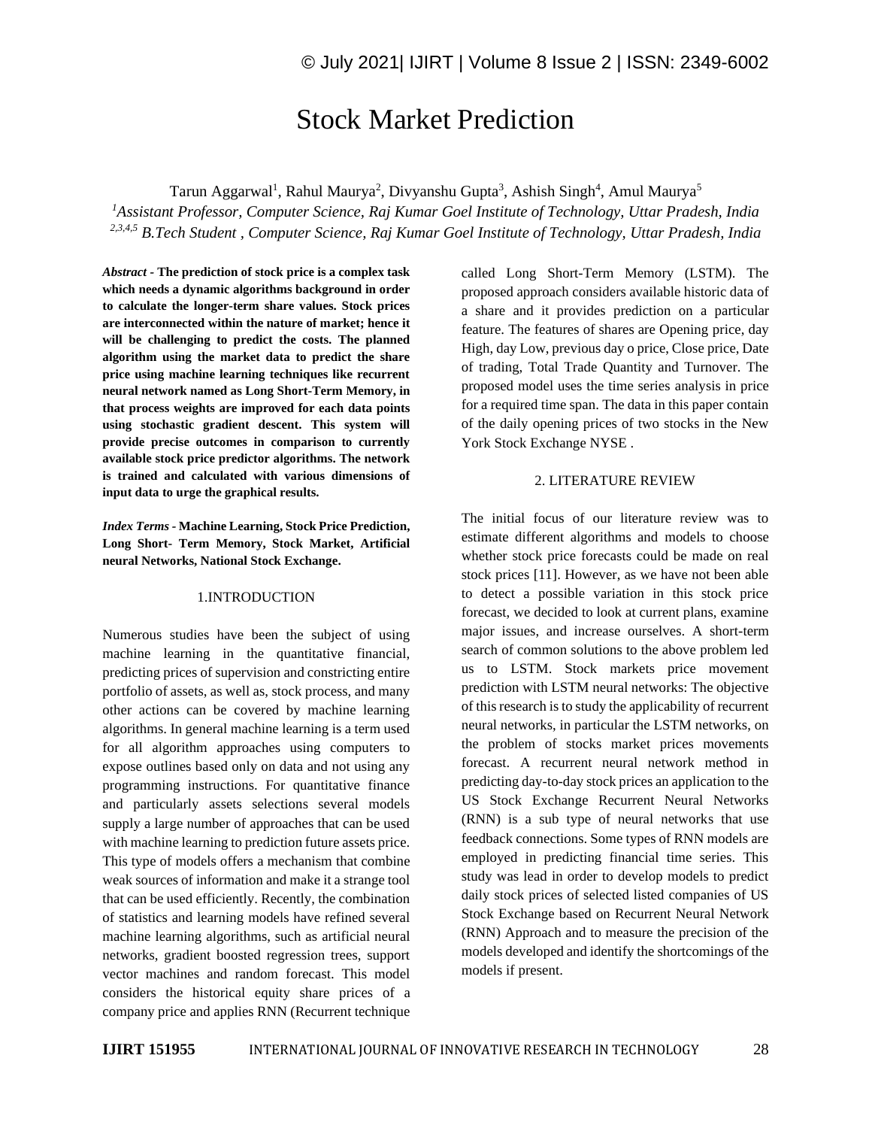# Stock Market Prediction

Tarun Aggarwal<sup>1</sup>, Rahul Maurya<sup>2</sup>, Divyanshu Gupta<sup>3</sup>, Ashish Singh<sup>4</sup>, Amul Maurya<sup>5</sup>

*<sup>1</sup>Assistant Professor, Computer Science, Raj Kumar Goel Institute of Technology, Uttar Pradesh, India 2,3,4,5 B.Tech Student , Computer Science, Raj Kumar Goel Institute of Technology, Uttar Pradesh, India*

*Abstract -* **The prediction of stock price is a complex task which needs a dynamic algorithms background in order to calculate the longer-term share values. Stock prices are interconnected within the nature of market; hence it will be challenging to predict the costs. The planned algorithm using the market data to predict the share price using machine learning techniques like recurrent neural network named as Long Short-Term Memory, in that process weights are improved for each data points using stochastic gradient descent. This system will provide precise outcomes in comparison to currently available stock price predictor algorithms. The network is trained and calculated with various dimensions of input data to urge the graphical results.**

*Index Terms -* **Machine Learning, Stock Price Prediction, Long Short- Term Memory, Stock Market, Artificial neural Networks, National Stock Exchange.**

# 1.INTRODUCTION

Numerous studies have been the subject of using machine learning in the quantitative financial, predicting prices of supervision and constricting entire portfolio of assets, as well as, stock process, and many other actions can be covered by machine learning algorithms. In general machine learning is a term used for all algorithm approaches using computers to expose outlines based only on data and not using any programming instructions. For quantitative finance and particularly assets selections several models supply a large number of approaches that can be used with machine learning to prediction future assets price. This type of models offers a mechanism that combine weak sources of information and make it a strange tool that can be used efficiently. Recently, the combination of statistics and learning models have refined several machine learning algorithms, such as artificial neural networks, gradient boosted regression trees, support vector machines and random forecast. This model considers the historical equity share prices of a company price and applies RNN (Recurrent technique called Long Short-Term Memory (LSTM). The proposed approach considers available historic data of a share and it provides prediction on a particular feature. The features of shares are Opening price, day High, day Low, previous day o price, Close price, Date of trading, Total Trade Quantity and Turnover. The proposed model uses the time series analysis in price for a required time span. The data in this paper contain of the daily opening prices of two stocks in the New York Stock Exchange NYSE .

## 2. LITERATURE REVIEW

The initial focus of our literature review was to estimate different algorithms and models to choose whether stock price forecasts could be made on real stock prices [11]. However, as we have not been able to detect a possible variation in this stock price forecast, we decided to look at current plans, examine major issues, and increase ourselves. A short-term search of common solutions to the above problem led us to LSTM. Stock markets price movement prediction with LSTM neural networks: The objective of this research is to study the applicability of recurrent neural networks, in particular the LSTM networks, on the problem of stocks market prices movements forecast. A recurrent neural network method in predicting day-to-day stock prices an application to the US Stock Exchange Recurrent Neural Networks (RNN) is a sub type of neural networks that use feedback connections. Some types of RNN models are employed in predicting financial time series. This study was lead in order to develop models to predict daily stock prices of selected listed companies of US Stock Exchange based on Recurrent Neural Network (RNN) Approach and to measure the precision of the models developed and identify the shortcomings of the models if present.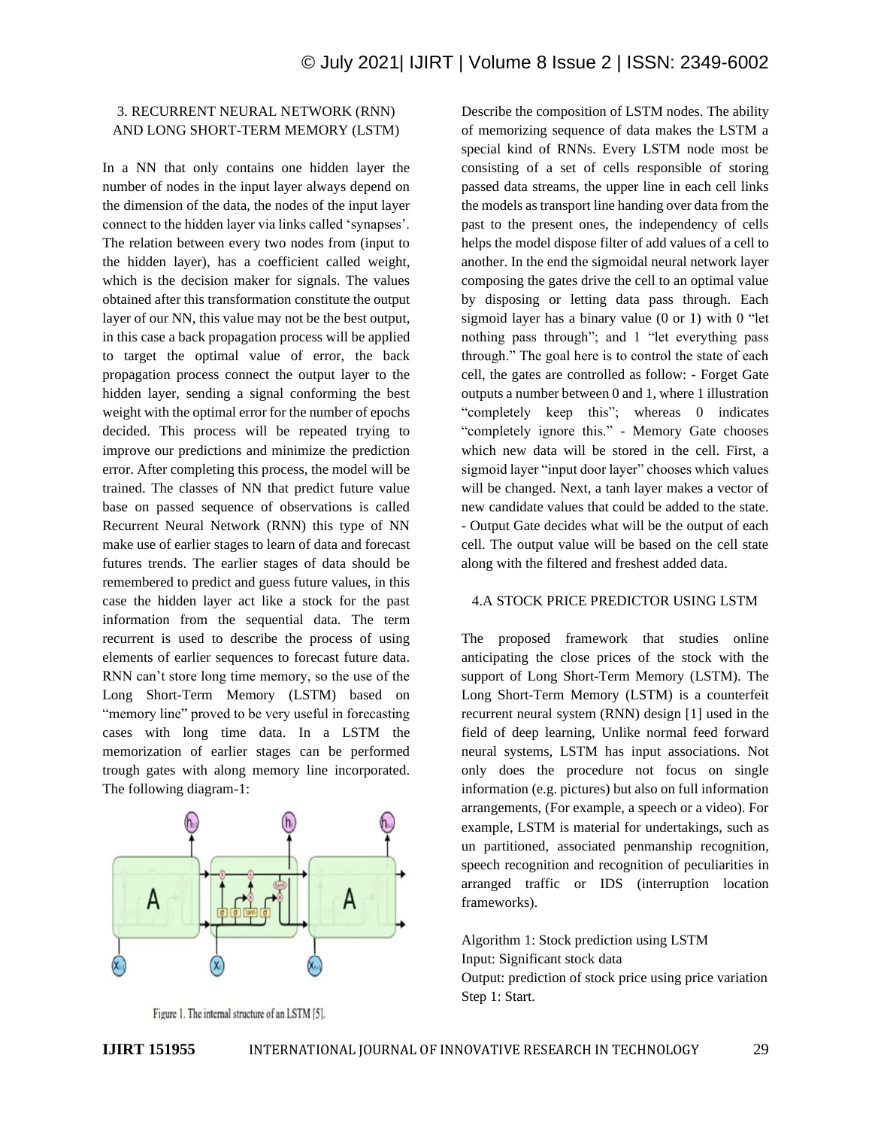# 3. RECURRENT NEURAL NETWORK (RNN) AND LONG SHORT-TERM MEMORY (LSTM)

In a NN that only contains one hidden layer the number of nodes in the input layer always depend on the dimension of the data, the nodes of the input layer connect to the hidden layer via links called 'synapses'. The relation between every two nodes from (input to the hidden layer), has a coefficient called weight, which is the decision maker for signals. The values obtained after this transformation constitute the output layer of our NN, this value may not be the best output, in this case a back propagation process will be applied to target the optimal value of error, the back propagation process connect the output layer to the hidden layer, sending a signal conforming the best weight with the optimal error for the number of epochs decided. This process will be repeated trying to improve our predictions and minimize the prediction error. After completing this process, the model will be trained. The classes of NN that predict future value base on passed sequence of observations is called Recurrent Neural Network (RNN) this type of NN make use of earlier stages to learn of data and forecast futures trends. The earlier stages of data should be remembered to predict and guess future values, in this case the hidden layer act like a stock for the past information from the sequential data. The term recurrent is used to describe the process of using elements of earlier sequences to forecast future data. RNN can't store long time memory, so the use of the Long Short-Term Memory (LSTM) based on "memory line" proved to be very useful in forecasting cases with long time data. In a LSTM the memorization of earlier stages can be performed trough gates with along memory line incorporated. The following diagram-1:



Figure 1. The internal structure of an LSTM [5].

Describe the composition of LSTM nodes. The ability of memorizing sequence of data makes the LSTM a special kind of RNNs. Every LSTM node most be consisting of a set of cells responsible of storing passed data streams, the upper line in each cell links the models as transport line handing over data from the past to the present ones, the independency of cells helps the model dispose filter of add values of a cell to another. In the end the sigmoidal neural network layer composing the gates drive the cell to an optimal value by disposing or letting data pass through. Each sigmoid layer has a binary value (0 or 1) with 0 "let nothing pass through"; and 1 "let everything pass through." The goal here is to control the state of each cell, the gates are controlled as follow: - Forget Gate outputs a number between 0 and 1, where 1 illustration "completely keep this"; whereas 0 indicates "completely ignore this." - Memory Gate chooses which new data will be stored in the cell. First, a sigmoid layer "input door layer" chooses which values will be changed. Next, a tanh layer makes a vector of new candidate values that could be added to the state. - Output Gate decides what will be the output of each cell. The output value will be based on the cell state along with the filtered and freshest added data.

#### 4.A STOCK PRICE PREDICTOR USING LSTM

The proposed framework that studies online anticipating the close prices of the stock with the support of Long Short-Term Memory (LSTM). The Long Short-Term Memory (LSTM) is a counterfeit recurrent neural system (RNN) design [1] used in the field of deep learning, Unlike normal feed forward neural systems, LSTM has input associations. Not only does the procedure not focus on single information (e.g. pictures) but also on full information arrangements, (For example, a speech or a video). For example, LSTM is material for undertakings, such as un partitioned, associated penmanship recognition, speech recognition and recognition of peculiarities in arranged traffic or IDS (interruption location frameworks).

# Algorithm 1: Stock prediction using LSTM Input: Significant stock data

Output: prediction of stock price using price variation Step 1: Start.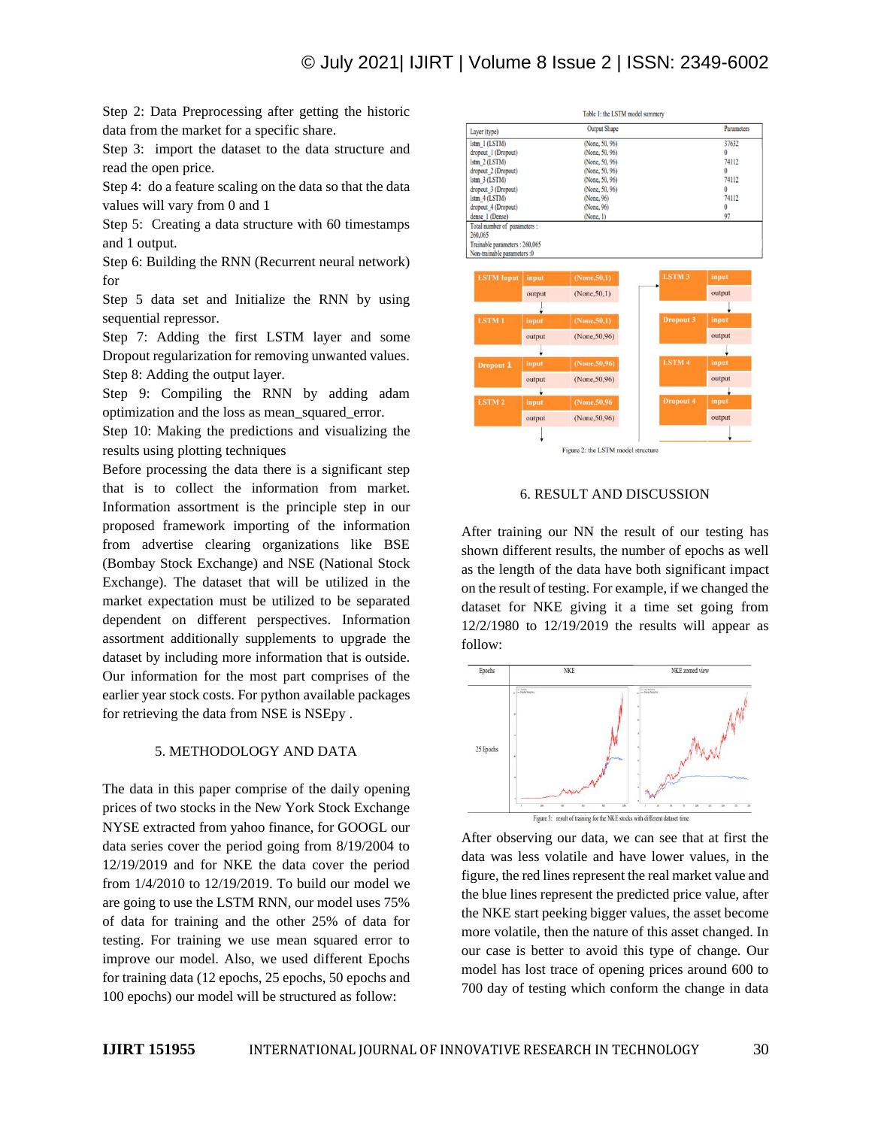Step 2: Data Preprocessing after getting the historic data from the market for a specific share.

Step 3: import the dataset to the data structure and read the open price.

Step 4: do a feature scaling on the data so that the data values will vary from 0 and 1

Step 5: Creating a data structure with 60 timestamps and 1 output.

Step 6: Building the RNN (Recurrent neural network) for

Step 5 data set and Initialize the RNN by using sequential repressor.

Step 7: Adding the first LSTM layer and some Dropout regularization for removing unwanted values. Step 8: Adding the output layer.

Step 9: Compiling the RNN by adding adam optimization and the loss as mean\_squared\_error.

Step 10: Making the predictions and visualizing the results using plotting techniques

Before processing the data there is a significant step that is to collect the information from market. Information assortment is the principle step in our proposed framework importing of the information from advertise clearing organizations like BSE (Bombay Stock Exchange) and NSE (National Stock Exchange). The dataset that will be utilized in the market expectation must be utilized to be separated dependent on different perspectives. Information assortment additionally supplements to upgrade the dataset by including more information that is outside. Our information for the most part comprises of the earlier year stock costs. For python available packages for retrieving the data from NSE is NSEpy .

#### 5. METHODOLOGY AND DATA

The data in this paper comprise of the daily opening prices of two stocks in the New York Stock Exchange NYSE extracted from yahoo finance, for GOOGL our data series cover the period going from 8/19/2004 to 12/19/2019 and for NKE the data cover the period from 1/4/2010 to 12/19/2019. To build our model we are going to use the LSTM RNN, our model uses 75% of data for training and the other 25% of data for testing. For training we use mean squared error to improve our model. Also, we used different Epochs for training data (12 epochs, 25 epochs, 50 epochs and 100 epochs) our model will be structured as follow:

| Layer (type)                  |        | <b>Output Shape</b> |                  | <b>Parameters</b> |
|-------------------------------|--------|---------------------|------------------|-------------------|
| Istm 1 (LSTM)                 |        | (None, 50, 96)      |                  | 37632             |
| dropout 1 (Dropout)           |        | (None, 50, 96)      |                  | $\Omega$          |
| $lstm$ $2 (LSTM)$             |        | (None, 50, 96)      |                  | 74112             |
| dropout 2 (Dropout)           |        | (None, 50, 96)      |                  | $\Omega$          |
| $lstm$ $3 (LSTM)$             |        | (None, 50, 96)      |                  | 74112             |
| dropout 3 (Dropout)           |        | (None, 50, 96)      |                  | $\Omega$          |
| $lstm$ $4 (LSTM)$             |        | (None, 96)          |                  | 74112             |
| dropout 4 (Dropout)           |        | (None, 96)          |                  | $\bf{0}$          |
| dense 1 (Dense)               |        | (None, 1)           |                  | 97                |
| Total number of parameters :  |        |                     |                  |                   |
| 260,065                       |        |                     |                  |                   |
| Trainable parameters: 260,065 |        |                     |                  |                   |
| Non-trainable parameters :0   |        |                     |                  |                   |
|                               |        |                     |                  |                   |
| <b>LSTM</b> Input             | input  | (None, 50, 1)       | <b>LSTM3</b>     | input             |
|                               |        |                     |                  |                   |
|                               | output | (None, 50, 1)       |                  | output            |
|                               |        |                     |                  |                   |
| <b>LSTM1</b>                  | input  | (None, 50, 1)       | <b>Dropout 3</b> | input             |
|                               | output | (None, 50, 96)      |                  | output            |
|                               |        |                     |                  |                   |
| Dropout 1                     | input  | (None, 50, 96)      | <b>LSTM4</b>     | input             |
|                               | output | (None, 50, 96)      |                  | output            |
|                               |        |                     |                  |                   |
| <b>LSTM2</b>                  | input  | (None, 50, 96)      | <b>Dropout 4</b> | input             |
|                               | output | (None, 50, 96)      |                  | output            |

# 6. RESULT AND DISCUSSION

After training our NN the result of our testing has shown different results, the number of epochs as well as the length of the data have both significant impact on the result of testing. For example, if we changed the dataset for NKE giving it a time set going from 12/2/1980 to 12/19/2019 the results will appear as follow:



After observing our data, we can see that at first the data was less volatile and have lower values, in the figure, the red lines represent the real market value and the blue lines represent the predicted price value, after the NKE start peeking bigger values, the asset become more volatile, then the nature of this asset changed. In our case is better to avoid this type of change. Our model has lost trace of opening prices around 600 to 700 day of testing which conform the change in data